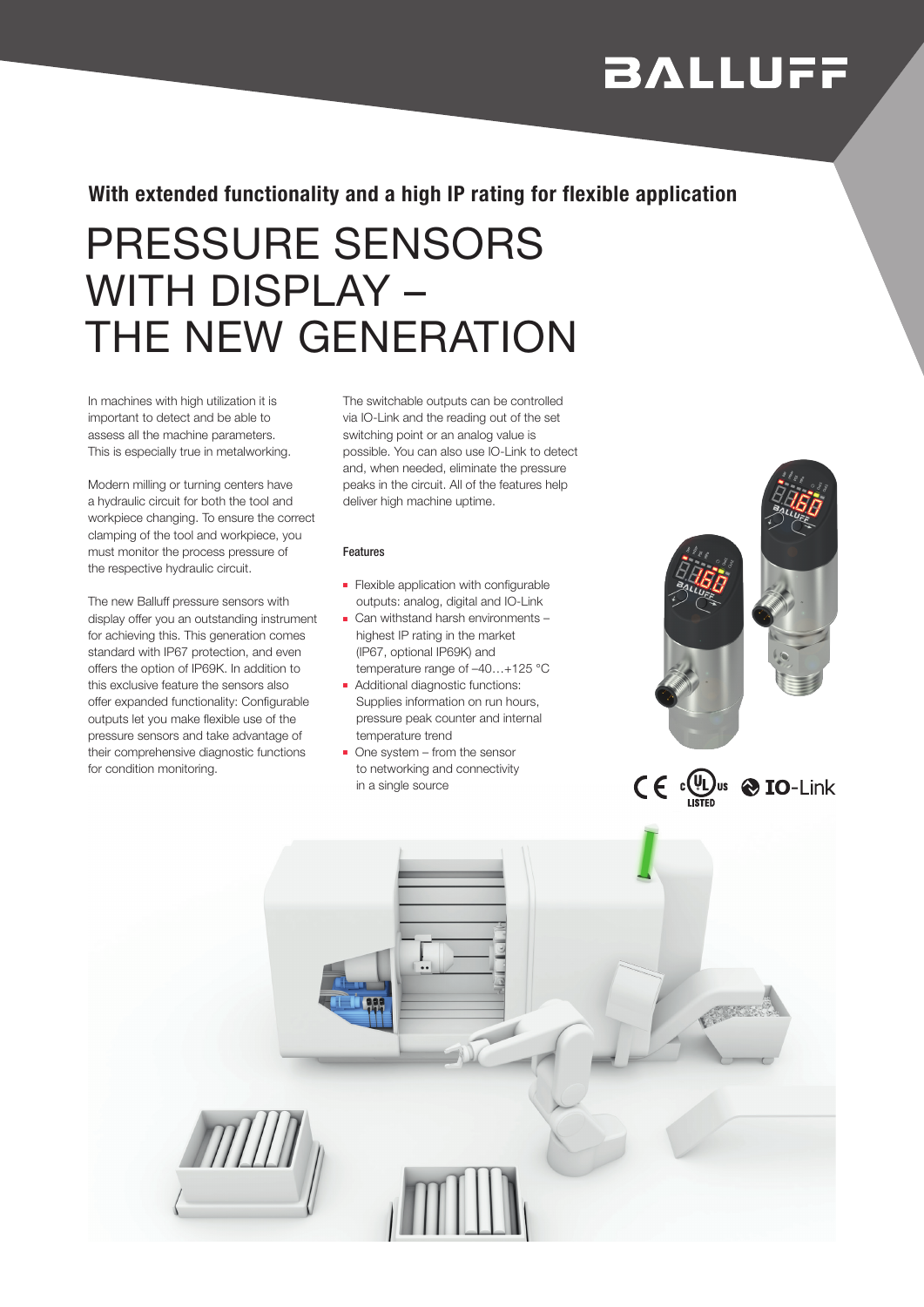# **BALLUFF**

 $C \in \mathbb{C}$   $\mathbb{Q}$ us  $\otimes$  IO-Link

### With extended functionality and a high IP rating for flexible application

## PRESSURE SENSORS WITH DISPLAY – THE NEW GENERATION

In machines with high utilization it is important to detect and be able to assess all the machine parameters. This is especially true in metalworking.

Modern milling or turning centers have a hydraulic circuit for both the tool and workpiece changing. To ensure the correct clamping of the tool and workpiece, you must monitor the process pressure of the respective hydraulic circuit.

The new Balluff pressure sensors with display offer you an outstanding instrument for achieving this. This generation comes standard with IP67 protection, and even offers the option of IP69K. In addition to this exclusive feature the sensors also offer expanded functionality: Configurable outputs let you make flexible use of the pressure sensors and take advantage of their comprehensive diagnostic functions for condition monitoring.

The switchable outputs can be controlled via IO-Link and the reading out of the set switching point or an analog value is possible. You can also use IO-Link to detect and, when needed, eliminate the pressure peaks in the circuit. All of the features help deliver high machine uptime.

#### Features

- Flexible application with configurable outputs: analog, digital and IO-Link
- Can withstand harsh environments highest IP rating in the market (IP67, optional IP69K) and temperature range of –40…+125 °C
- Additional diagnostic functions: Supplies information on run hours, pressure peak counter and internal temperature trend
- One system from the sensor to networking and connectivity in a single source